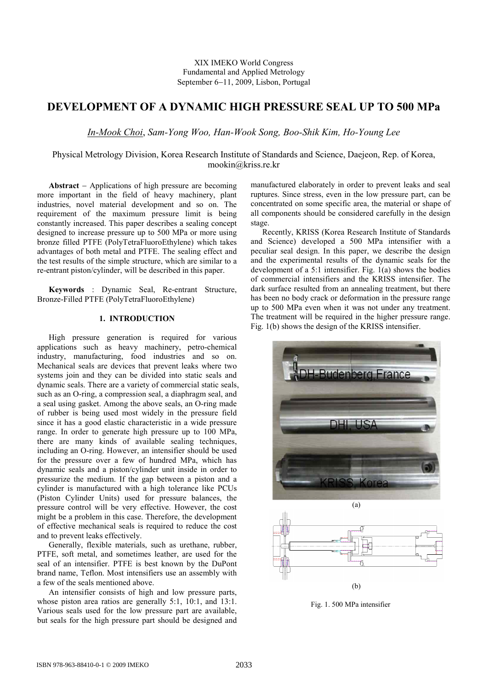XIX IMEKO World Congress Fundamental and Applied Metrology September 6-11, 2009, Lisbon, Portugal

# **DEVELOPMENT OF A DYNAMIC HIGH PRESSURE SEAL UP TO 500 MPa**

*In-Mook Choi*, *Sam-Yong Woo, Han-Wook Song, Boo-Shik Kim, Ho-Young Lee*

Physical Metrology Division, Korea Research Institute of Standards and Science, Daejeon, Rep. of Korea, mookin@kriss.re.kr

**Abstract** - Applications of high pressure are becoming more important in the field of heavy machinery, plant industries, novel material development and so on. The requirement of the maximum pressure limit is being constantly increased. This paper describes a sealing concept designed to increase pressure up to 500 MPa or more using bronze filled PTFE (PolyTetraFluoroEthylene) which takes advantages of both metal and PTFE. The sealing effect and the test results of the simple structure, which are similar to a re-entrant piston/cylinder, will be described in this paper.

**Keywords** : Dynamic Seal, Re-entrant Structure, Bronze-Filled PTFE (PolyTetraFluoroEthylene)

# **1. INTRODUCTION**

High pressure generation is required for various applications such as heavy machinery, petro-chemical industry, manufacturing, food industries and so on. Mechanical seals are devices that prevent leaks where two systems join and they can be divided into static seals and dynamic seals. There are a variety of commercial static seals, such as an O-ring, a compression seal, a diaphragm seal, and a seal using gasket. Among the above seals, an O-ring made of rubber is being used most widely in the pressure field since it has a good elastic characteristic in a wide pressure range. In order to generate high pressure up to 100 MPa, there are many kinds of available sealing techniques, including an O-ring. However, an intensifier should be used for the pressure over a few of hundred MPa, which has dynamic seals and a piston/cylinder unit inside in order to pressurize the medium. If the gap between a piston and a cylinder is manufactured with a high tolerance like PCUs (Piston Cylinder Units) used for pressure balances, the pressure control will be very effective. However, the cost might be a problem in this case. Therefore, the development of effective mechanical seals is required to reduce the cost and to prevent leaks effectively.

Generally, flexible materials, such as urethane, rubber, PTFE, soft metal, and sometimes leather, are used for the seal of an intensifier. PTFE is best known by the DuPont brand name, Teflon. Most intensifiers use an assembly with a few of the seals mentioned above.

An intensifier consists of high and low pressure parts, whose piston area ratios are generally 5:1, 10:1, and 13:1. Various seals used for the low pressure part are available, but seals for the high pressure part should be designed and manufactured elaborately in order to prevent leaks and seal ruptures. Since stress, even in the low pressure part, can be concentrated on some specific area, the material or shape of all components should be considered carefully in the design stage.

Recently, KRISS (Korea Research Institute of Standards and Science) developed a 500 MPa intensifier with a peculiar seal design. In this paper, we describe the design and the experimental results of the dynamic seals for the development of a 5:1 intensifier. Fig. 1(a) shows the bodies of commercial intensifiers and the KRISS intensifier. The dark surface resulted from an annealing treatment, but there has been no body crack or deformation in the pressure range up to 500 MPa even when it was not under any treatment. The treatment will be required in the higher pressure range. Fig. 1(b) shows the design of the KRISS intensifier.



Fig. 1. 500 MPa intensifier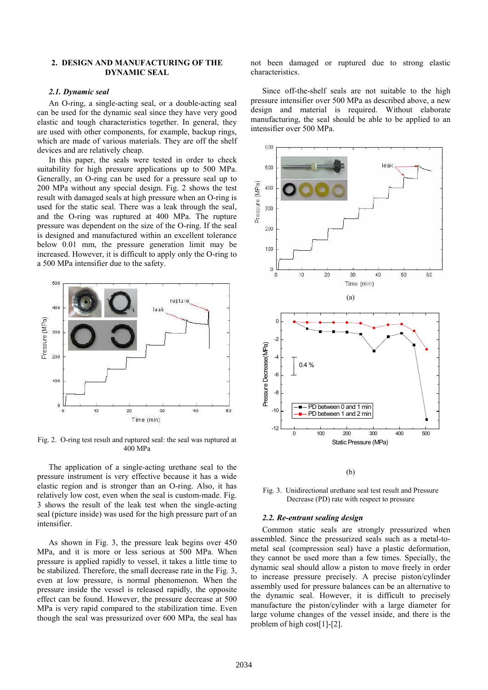## **2. DESIGN AND MANUFACTURING OF THE DYNAMIC SEAL**

### *2.1. Dynamic seal*

An O-ring, a single-acting seal, or a double-acting seal can be used for the dynamic seal since they have very good elastic and tough characteristics together. In general, they are used with other components, for example, backup rings, which are made of various materials. They are off the shelf devices and are relatively cheap. In this paper, the seals were tested in order to check

suitability for high pressure applications up to 500 MPa. Generally, an O-ring can be used for a pressure seal up to 200 MPa without any special design. Fig. 2 shows the test result with damaged seals at high pressure when an O-ring is used for the static seal. There was a leak 200 MPa without any special design. Fig. 2 shows the test result with damaged seals at high pressure when an O-ring is used for the static seal. There was a leak through the seal, and the O-ring was ruptured at 400 MPa. The rupture pressure was dependent on the size of the O-ring. If the seal is designed and manufactured within an excellent tolerance below 0.01 mm, the pressure generation limit may be increased. However, it is difficult to apply only the O-ring to a 500 MPa intensifier due to the safety.



Fig. 2. O-ring test result and ruptured seal: the seal was ruptured at 400 MPa

The application of a single-acting urethane seal to the pressure instrument is very effective because it has a wide elastic region and is stronger than an O-ring. Also, it has relatively low cost, even when the seal is custom-made. Fig. 3 shows the result of the leak test when the single-acting seal (picture inside) was used for the high pressure part of an intensifier.

As shown in Fig. 3, the pressure leak begins over 450 MPa, and it is more or less serious at 500 MPa. When pressure is applied rapidly to vessel, it takes a little time to be stabilized. Therefore, the small decrease rate in the Fig. 3, even at low pressure, is normal phenomenon. When the pressure inside the vessel is released rapidly, the opposite effect can be found. However, the pressure decrease at 500 MPa is very rapid compared to the stabilization time. Even though the seal was pressurized over 600 MPa, the seal has not been damaged or ruptured due to strong elastic characteristics.

Since off-the-shelf seals are not suitable to the high pressure intensifier over 500 MPa as described above, a new design and material is required. Without elaborate manufacturing, the seal should be able to be applied to an intensifier over 500 MPa.



(b)

Fig. 3. Unidirectional urethane seal test result and Pressure Decrease (PD) rate with respect to pressure

#### *2.2. Re-entrant sealing design*

Common static seals are strongly pressurized when assembled. Since the pressurized seals such as a metal-to metal seal (compression seal) have a plastic deformation, they cannot be used more than a few times. Specially, the dynamic seal should allow a piston to move freely in order to increase pressure precisely. A precise piston/cylinder assembly used for pressure balances can be an alternative to the dynamic seal. However, it is difficult to precisely manufacture the piston/cylinder with a large diameter for large volume changes of the vessel inside, and there is the problem of high cost[1]-[2].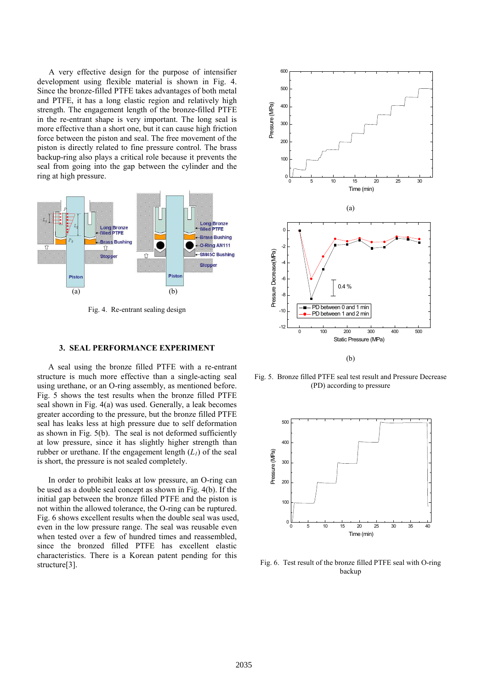A very effective design for the purpose of intensifier development using flexible material is shown in Fig. 4. Since the bronze-filled PTFE takes advantages of both metal and PTFE, it has a long elastic region and relatively high strength. The engagement length of the bronze-filled PTFE in the re-entrant shape is very important. The long seal is more effective than a short one, but it can cause high friction force between the piston and seal. The free movement of the piston is directly related to fine pressure control. The brass backup-ring also plays a critical role because it prevents the seal from going into the gap between the cylinder and the ring at high pressure.



Fig. 4. Re-entrant sealing design

#### **3. SEAL PERFORMANCE EXPERIMENT**

A seal using the bronze filled PTFE with a re-entrant structure is much more effective than a single-acting seal using urethane, or an O-ring assembly, as mentioned before. Fig. 5 shows the test results when the bronze filled PTFE seal shown in Fig. 4(a) was used. Generally, a leak becomes greater according to the pressure, but the bronze filled PTFE seal has leaks less at high pressure due to self deformation as shown in Fig. 5(b). The seal is not deformed sufficiently at low pressure, since it has slightly higher strength than rubber or urethane. If the engagement length  $(L<sub>1</sub>)$  of the seal is short, the pressure is not sealed completely.

In order to prohibit leaks at low pressure, an O-ring can be used as a double seal concept as shown in Fig. 4(b). If the initial gap between the bronze filled PTFE and the piston is not within the allowed tolerance, the O-ring can be ruptured. Fig. 6 shows excellent results when the double seal was used, even in the low pressure range. The seal was reusable even when tested over a few of hundred times and reassembled, since the bronzed filled PTFE has excellent elastic characteristics. There is a Korean patent pending for this structure[3].



Fig. 5. Bronze filled PTFE seal test result and Pressure Decrease (PD) according to pressure



Fig. 6. Test result of the bronze filled PTFE seal with O-ring backup